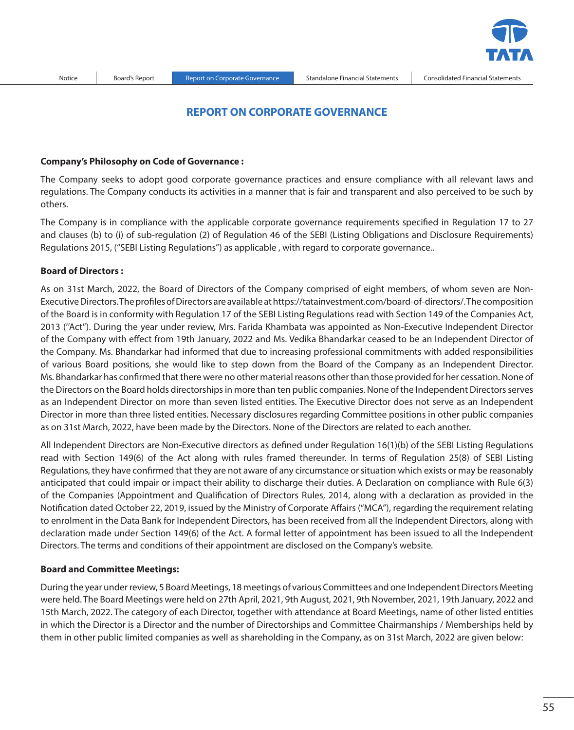# **REPORT ON CORPORATE GOVERNANCE**

#### **Company's Philosophy on Code of Governance :**

The Company seeks to adopt good corporate governance practices and ensure compliance with all relevant laws and regulations. The Company conducts its activities in a manner that is fair and transparent and also perceived to be such by others.

The Company is in compliance with the applicable corporate governance requirements specified in Regulation 17 to 27 and clauses (b) to (i) of sub-regulation (2) of Regulation 46 of the SEBI (Listing Obligations and Disclosure Requirements) Regulations 2015, ("SEBI Listing Regulations'') as applicable , with regard to corporate governance..

## **Board of Directors :**

As on 31st March, 2022, the Board of Directors of the Company comprised of eight members, of whom seven are Non-Executive Directors. The profiles of Directors are available at https://tatainvestment.com/board-of-directors/. The composition of the Board is in conformity with Regulation 17 of the SEBI Listing Regulations read with Section 149 of the Companies Act, 2013 (''Act"). During the year under review, Mrs. Farida Khambata was appointed as Non-Executive Independent Director of the Company with effect from 19th January, 2022 and Ms. Vedika Bhandarkar ceased to be an Independent Director of the Company. Ms. Bhandarkar had informed that due to increasing professional commitments with added responsibilities of various Board positions, she would like to step down from the Board of the Company as an Independent Director. Ms. Bhandarkar has confirmed that there were no other material reasons other than those provided for her cessation. None of the Directors on the Board holds directorships in more than ten public companies. None of the Independent Directors serves as an Independent Director on more than seven listed entities. The Executive Director does not serve as an Independent Director in more than three listed entities. Necessary disclosures regarding Committee positions in other public companies as on 31st March, 2022, have been made by the Directors. None of the Directors are related to each another.

All Independent Directors are Non-Executive directors as defined under Regulation 16(1)(b) of the SEBI Listing Regulations read with Section 149(6) of the Act along with rules framed thereunder. In terms of Regulation 25(8) of SEBI Listing Regulations, they have confirmed that they are not aware of any circumstance or situation which exists or may be reasonably anticipated that could impair or impact their ability to discharge their duties. A Declaration on compliance with Rule 6(3) of the Companies (Appointment and Qualification of Directors Rules, 2014, along with a declaration as provided in the Notification dated October 22, 2019, issued by the Ministry of Corporate Affairs ("MCA"), regarding the requirement relating to enrolment in the Data Bank for Independent Directors, has been received from all the Independent Directors, along with declaration made under Section 149(6) of the Act. A formal letter of appointment has been issued to all the Independent Directors. The terms and conditions of their appointment are disclosed on the Company's website.

#### **Board and Committee Meetings:**

During the year under review, 5 Board Meetings, 18 meetings of various Committees and one Independent Directors Meeting were held. The Board Meetings were held on 27th April, 2021, 9th August, 2021, 9th November, 2021, 19th January, 2022 and 15th March, 2022. The category of each Director, together with attendance at Board Meetings, name of other listed entities in which the Director is a Director and the number of Directorships and Committee Chairmanships / Memberships held by them in other public limited companies as well as shareholding in the Company, as on 31st March, 2022 are given below: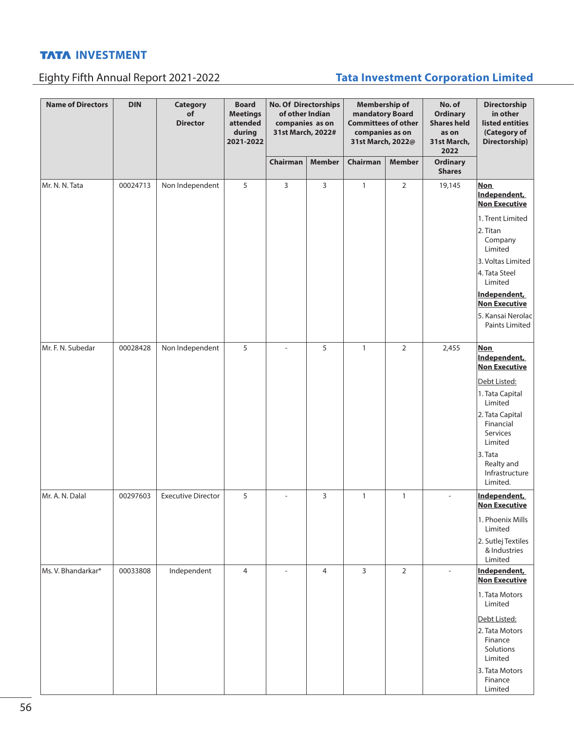# Eighty Fifth Annual Report 2021-2022 **Tata Investment Corporation Limited**

| <b>Name of Directors</b> | <b>DIN</b> | <b>Category</b><br>of<br><b>Director</b> | <b>Board</b><br><b>Meetings</b><br>attended<br>during<br>2021-2022 | <b>No. Of Directorships</b><br>of other Indian<br>companies as on<br>31st March, 2022# |                | <b>Membership of</b><br>mandatory Board<br><b>Committees of other</b><br>companies as on<br>31st March, 2022@ |                |                           |                                                                                                                                                                                                                                          | No. of<br><b>Ordinary</b><br><b>Shares held</b><br>as on<br>31st March,<br>2022 | Directorship<br>in other<br>listed entities<br>(Category of<br>Directorship) |
|--------------------------|------------|------------------------------------------|--------------------------------------------------------------------|----------------------------------------------------------------------------------------|----------------|---------------------------------------------------------------------------------------------------------------|----------------|---------------------------|------------------------------------------------------------------------------------------------------------------------------------------------------------------------------------------------------------------------------------------|---------------------------------------------------------------------------------|------------------------------------------------------------------------------|
|                          |            |                                          |                                                                    | Chairman                                                                               | <b>Member</b>  | Chairman                                                                                                      | <b>Member</b>  | Ordinary<br><b>Shares</b> |                                                                                                                                                                                                                                          |                                                                                 |                                                                              |
| Mr. N. N. Tata           | 00024713   | Non Independent                          | 5                                                                  | 3                                                                                      | 3              | 1                                                                                                             | $\overline{2}$ | 19,145                    | <b>Non</b><br>Independent,<br><b>Non Executive</b><br>1. Trent Limited<br>2. Titan<br>Company<br>Limited<br>3. Voltas Limited<br>4. Tata Steel<br>Limited<br>Independent,<br><b>Non Executive</b><br>5. Kansai Nerolac<br>Paints Limited |                                                                                 |                                                                              |
| Mr. F. N. Subedar        | 00028428   | Non Independent                          | 5                                                                  |                                                                                        | 5              | $\mathbf{1}$                                                                                                  | $\overline{2}$ | 2,455                     | <b>Non</b><br>Independent,<br><b>Non Executive</b><br>Debt Listed:<br>1. Tata Capital<br>Limited<br>2. Tata Capital<br>Financial<br>Services<br>Limited<br>3. Tata<br>Realty and<br>Infrastructure                                       |                                                                                 |                                                                              |
| Mr. A. N. Dalal          | 00297603   | <b>Executive Director</b>                | 5                                                                  |                                                                                        | 3              | $\mathbf{1}$                                                                                                  | $\mathbf{1}$   | ٠                         | Limited.<br>Independent,<br><b>Non Executive</b><br>1. Phoenix Mills<br>Limited<br>2. Sutlej Textiles<br>& Industries                                                                                                                    |                                                                                 |                                                                              |
| Ms. V. Bhandarkar*       | 00033808   | Independent                              | 4                                                                  |                                                                                        | $\overline{4}$ | 3                                                                                                             | $\overline{2}$ | $\overline{\phantom{a}}$  | Limited<br>Independent,<br><b>Non Executive</b><br>1. Tata Motors<br>Limited<br>Debt Listed:<br>2. Tata Motors<br>Finance<br>Solutions<br>Limited<br>3. Tata Motors<br>Finance<br>Limited                                                |                                                                                 |                                                                              |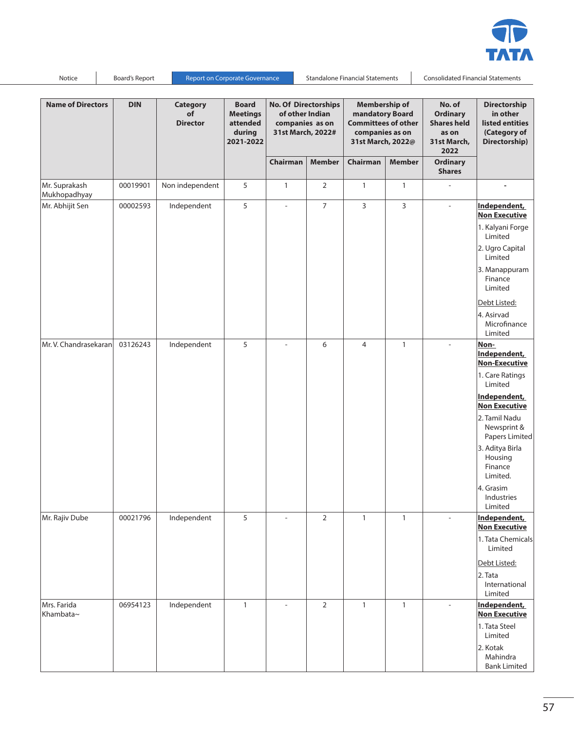

**Name of Directors DIN Category of Director Board Meetings attended during 2021-2022 No. Of Directorships of other Indian companies as on 31st March, 2022# Membership of mandatory Board Committees of other companies as on 31st March, 2022@ No. of Ordinary Shares held as on 31st March, 2022 Directorship in other listed entities (Category of Directorship) Chairman Member Chairman Member Ordinary Shares** Mr. Suprakash Mukhopadhyay 00019901 | Non independent | 5 | 1 | 2 | 1 | 1 | - | -Mr. Abhijit Sen | 00002593 | Independent | 5 | - | 7 | 3 | 3 | - |<mark>Independent,</mark> **Non Executive** 1. Kalyani Forge Limited 2. Ugro Capital Limited 3. Manappuram Finance Limited Debt Listed: 4. Asirvad Microfinance Limited **Mr. V. Chandrasekaran** | 03126243 | Independent | 5 | - | 6 | 4 | 1 | - | <mark>Non-</mark> **Independent, Non-Executive** 1. Care Ratings Limited **Independent, Non Executive** 2. Tamil Nadu Newsprint & Papers Limited 3. Aditya Birla Housing Finance Limited. 4. Grasim Industries Limited Mr. Rajiv Dube 00021796 Independent 5 - 2 1 1 - **Independent, Non Executive** 1. Tata Chemicals Limited Debt Listed: 2. Tata International Limited Mrs. Farida Khambata~ 06954123 | Independent | 1 | - | 2 | 1 | 1 | - | Independent, **Non Executive** 1. Tata Steel Limited 2. Kotak Mahindra Bank Limited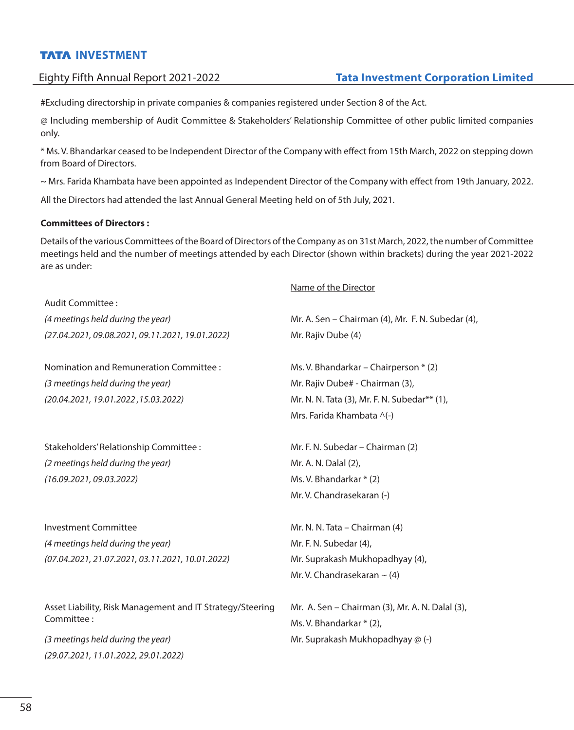#Excluding directorship in private companies & companies registered under Section 8 of the Act.

@ Including membership of Audit Committee & Stakeholders' Relationship Committee of other public limited companies only.

\* Ms. V. Bhandarkar ceased to be Independent Director of the Company with effect from 15th March, 2022 on stepping down from Board of Directors.

~ Mrs. Farida Khambata have been appointed as Independent Director of the Company with effect from 19th January, 2022.

All the Directors had attended the last Annual General Meeting held on of 5th July, 2021.

## **Committees of Directors :**

Details of the various Committees of the Board of Directors of the Company as on 31st March, 2022, the number of Committee meetings held and the number of meetings attended by each Director (shown within brackets) during the year 2021-2022 are as under:

|                                                           | Name of the Director                              |
|-----------------------------------------------------------|---------------------------------------------------|
| Audit Committee :                                         |                                                   |
| (4 meetings held during the year)                         | Mr. A. Sen - Chairman (4), Mr. F. N. Subedar (4), |
| (27.04.2021, 09.08.2021, 09.11.2021, 19.01.2022)          | Mr. Rajiv Dube (4)                                |
| Nomination and Remuneration Committee :                   | Ms. V. Bhandarkar - Chairperson * (2)             |
| (3 meetings held during the year)                         | Mr. Rajiv Dube# - Chairman (3),                   |
| (20.04.2021, 19.01.2022, 15.03.2022)                      | Mr. N. N. Tata (3), Mr. F. N. Subedar** (1),      |
|                                                           | Mrs. Farida Khambata ^(-)                         |
| Stakeholders' Relationship Committee :                    | Mr. F. N. Subedar - Chairman (2)                  |
| (2 meetings held during the year)                         | Mr. A. N. Dalal (2),                              |
| (16.09.2021, 09.03.2022)                                  | Ms. V. Bhandarkar * (2)                           |
|                                                           | Mr. V. Chandrasekaran (-)                         |
| Investment Committee                                      | Mr. N. N. Tata – Chairman (4)                     |
| (4 meetings held during the year)                         | Mr. F. N. Subedar (4),                            |
| (07.04.2021, 21.07.2021, 03.11.2021, 10.01.2022)          | Mr. Suprakash Mukhopadhyay (4),                   |
|                                                           | Mr. V. Chandrasekaran $\sim$ (4)                  |
| Asset Liability, Risk Management and IT Strategy/Steering | Mr. A. Sen - Chairman (3), Mr. A. N. Dalal (3),   |
| Committee:                                                | Ms. V. Bhandarkar * (2),                          |
| (3 meetings held during the year)                         | Mr. Suprakash Mukhopadhyay @ (-)                  |
| (29.07.2021, 11.01.2022, 29.01.2022)                      |                                                   |
|                                                           |                                                   |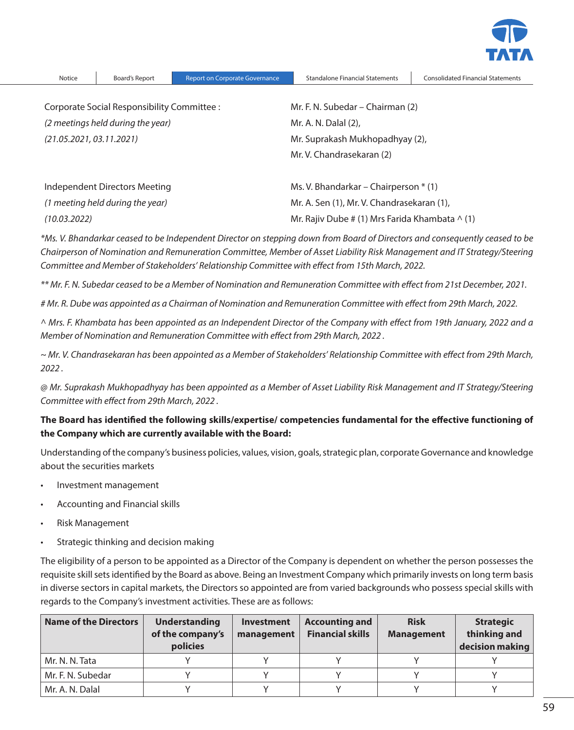

| Corporate Social Responsibility Committee : | Mr. F. N. Subedar – Chairman (2)                      |
|---------------------------------------------|-------------------------------------------------------|
| (2 meetings held during the year)           | Mr. A. N. Dalal (2),                                  |
| (21.05.2021, 03.11.2021)                    | Mr. Suprakash Mukhopadhyay (2),                       |
|                                             | Mr. V. Chandrasekaran (2)                             |
| Independent Directors Meeting               | Ms. V. Bhandarkar – Chairperson $*$ (1)               |
| (1 meeting held during the year)            | Mr. A. Sen (1), Mr. V. Chandrasekaran (1),            |
| (10.03.2022)                                | Mr. Rajiv Dube # (1) Mrs Farida Khambata $\wedge$ (1) |

*\*Ms. V. Bhandarkar ceased to be Independent Director on stepping down from Board of Directors and consequently ceased to be Chairperson of Nomination and Remuneration Committee, Member of Asset Liability Risk Management and IT Strategy/Steering Committee and Member of Stakeholders' Relationship Committee with effect from 15th March, 2022.*

*\*\* Mr. F. N. Subedar ceased to be a Member of Nomination and Remuneration Committee with effect from 21st December, 2021.*

*# Mr. R. Dube was appointed as a Chairman of Nomination and Remuneration Committee with effect from 29th March, 2022.*

*^ Mrs. F. Khambata has been appointed as an Independent Director of the Company with effect from 19th January, 2022 and a Member of Nomination and Remuneration Committee with effect from 29th March, 2022 .*

*~ Mr. V. Chandrasekaran has been appointed as a Member of Stakeholders' Relationship Committee with effect from 29th March, 2022 .*

*@ Mr. Suprakash Mukhopadhyay has been appointed as a Member of Asset Liability Risk Management and IT Strategy/Steering Committee with effect from 29th March, 2022 .*

**The Board has identified the following skills/expertise/ competencies fundamental for the effective functioning of the Company which are currently available with the Board:**

Understanding of the company's business policies, values, vision, goals, strategic plan, corporate Governance and knowledge about the securities markets

- Investment management
- Accounting and Financial skills
- • Risk Management
- • Strategic thinking and decision making

The eligibility of a person to be appointed as a Director of the Company is dependent on whether the person possesses the requisite skill sets identified by the Board as above. Being an Investment Company which primarily invests on long term basis in diverse sectors in capital markets, the Directors so appointed are from varied backgrounds who possess special skills with regards to the Company's investment activities. These are as follows:

| Name of the Directors | <b>Understanding</b><br>of the company's<br>policies | <b>Investment</b><br>management | <b>Accounting and</b><br><b>Financial skills</b> | <b>Risk</b><br><b>Management</b> | <b>Strategic</b><br>thinking and<br>decision making |
|-----------------------|------------------------------------------------------|---------------------------------|--------------------------------------------------|----------------------------------|-----------------------------------------------------|
| Mr. N. N. Tata        |                                                      |                                 |                                                  |                                  |                                                     |
| Mr. F. N. Subedar     |                                                      |                                 |                                                  |                                  |                                                     |
| Mr. A. N. Dalal       |                                                      |                                 |                                                  |                                  |                                                     |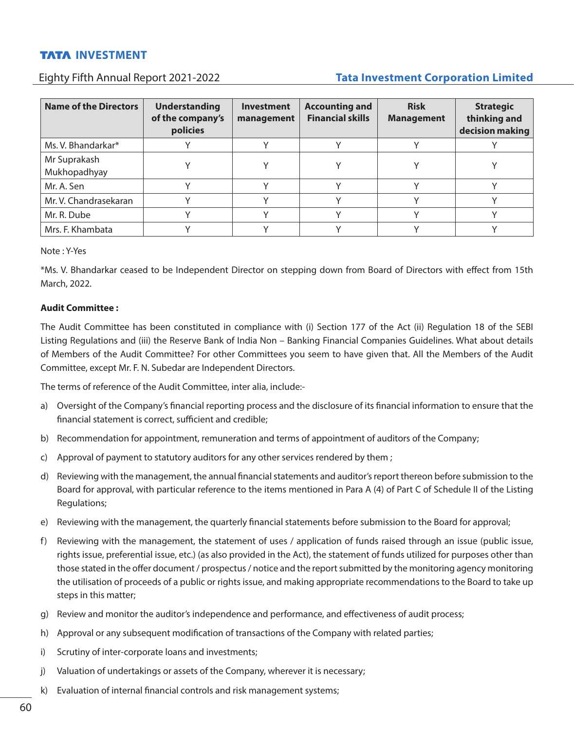# Eighty Fifth Annual Report 2021-2022 **Tata Investment Corporation Limited**

| <b>Name of the Directors</b> | <b>Understanding</b><br>of the company's<br>policies | <b>Investment</b><br>management | <b>Accounting and</b><br><b>Financial skills</b> | <b>Risk</b><br><b>Management</b> | <b>Strategic</b><br>thinking and<br>decision making |
|------------------------------|------------------------------------------------------|---------------------------------|--------------------------------------------------|----------------------------------|-----------------------------------------------------|
| Ms. V. Bhandarkar*           |                                                      |                                 |                                                  |                                  |                                                     |
| Mr Suprakash<br>Mukhopadhyay |                                                      |                                 |                                                  |                                  |                                                     |
| Mr. A. Sen                   |                                                      |                                 |                                                  |                                  |                                                     |
| Mr. V. Chandrasekaran        |                                                      |                                 |                                                  |                                  |                                                     |
| Mr. R. Dube                  |                                                      |                                 |                                                  |                                  |                                                     |
| Mrs. F. Khambata             |                                                      |                                 |                                                  |                                  |                                                     |

Note : Y-Yes

\*Ms. V. Bhandarkar ceased to be Independent Director on stepping down from Board of Directors with effect from 15th March, 2022.

## **Audit Committee :**

The Audit Committee has been constituted in compliance with (i) Section 177 of the Act (ii) Regulation 18 of the SEBI Listing Regulations and (iii) the Reserve Bank of India Non – Banking Financial Companies Guidelines. What about details of Members of the Audit Committee? For other Committees you seem to have given that. All the Members of the Audit Committee, except Mr. F. N. Subedar are Independent Directors.

The terms of reference of the Audit Committee, inter alia, include:-

- a) Oversight of the Company's financial reporting process and the disclosure of its financial information to ensure that the financial statement is correct, sufficient and credible;
- b) Recommendation for appointment, remuneration and terms of appointment of auditors of the Company;
- c) Approval of payment to statutory auditors for any other services rendered by them ;
- d) Reviewing with the management, the annual financial statements and auditor's report thereon before submission to the Board for approval, with particular reference to the items mentioned in Para A (4) of Part C of Schedule II of the Listing Regulations;
- e) Reviewing with the management, the quarterly financial statements before submission to the Board for approval;
- f) Reviewing with the management, the statement of uses / application of funds raised through an issue (public issue, rights issue, preferential issue, etc.) (as also provided in the Act), the statement of funds utilized for purposes other than those stated in the offer document / prospectus / notice and the report submitted by the monitoring agency monitoring the utilisation of proceeds of a public or rights issue, and making appropriate recommendations to the Board to take up steps in this matter;
- g) Review and monitor the auditor's independence and performance, and effectiveness of audit process;
- h) Approval or any subsequent modification of transactions of the Company with related parties;
- i) Scrutiny of inter-corporate loans and investments;
- j) Valuation of undertakings or assets of the Company, wherever it is necessary;
- k) Evaluation of internal financial controls and risk management systems;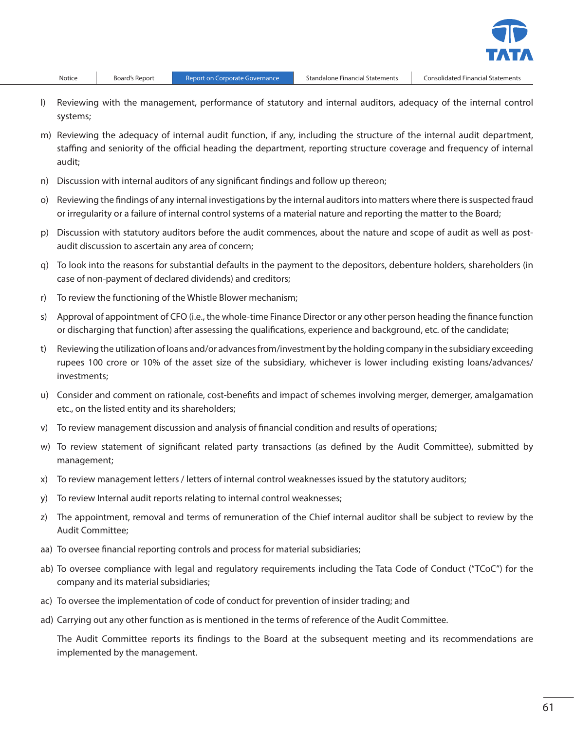- l) Reviewing with the management, performance of statutory and internal auditors, adequacy of the internal control systems;
- m) Reviewing the adequacy of internal audit function, if any, including the structure of the internal audit department, staffing and seniority of the official heading the department, reporting structure coverage and frequency of internal audit;
- n) Discussion with internal auditors of any significant findings and follow up thereon;
- o) Reviewing the findings of any internal investigations by the internal auditors into matters where there is suspected fraud or irregularity or a failure of internal control systems of a material nature and reporting the matter to the Board;
- p) Discussion with statutory auditors before the audit commences, about the nature and scope of audit as well as postaudit discussion to ascertain any area of concern;
- q) To look into the reasons for substantial defaults in the payment to the depositors, debenture holders, shareholders (in case of non-payment of declared dividends) and creditors;
- r) To review the functioning of the Whistle Blower mechanism;
- s) Approval of appointment of CFO (i.e., the whole-time Finance Director or any other person heading the finance function or discharging that function) after assessing the qualifications, experience and background, etc. of the candidate;
- t) Reviewing the utilization of loans and/or advances from/investment by the holding company in the subsidiary exceeding rupees 100 crore or 10% of the asset size of the subsidiary, whichever is lower including existing loans/advances/ investments;
- u) Consider and comment on rationale, cost-benefits and impact of schemes involving merger, demerger, amalgamation etc., on the listed entity and its shareholders;
- v) To review management discussion and analysis of financial condition and results of operations;
- w) To review statement of significant related party transactions (as defined by the Audit Committee), submitted by management;
- x) To review management letters / letters of internal control weaknesses issued by the statutory auditors;
- y) To review Internal audit reports relating to internal control weaknesses;
- z) The appointment, removal and terms of remuneration of the Chief internal auditor shall be subject to review by the Audit Committee;
- aa) To oversee financial reporting controls and process for material subsidiaries;
- ab) To oversee compliance with legal and regulatory requirements including the Tata Code of Conduct ("TCoC") for the company and its material subsidiaries;
- ac) To oversee the implementation of code of conduct for prevention of insider trading; and
- ad) Carrying out any other function as is mentioned in the terms of reference of the Audit Committee.

 The Audit Committee reports its findings to the Board at the subsequent meeting and its recommendations are implemented by the management.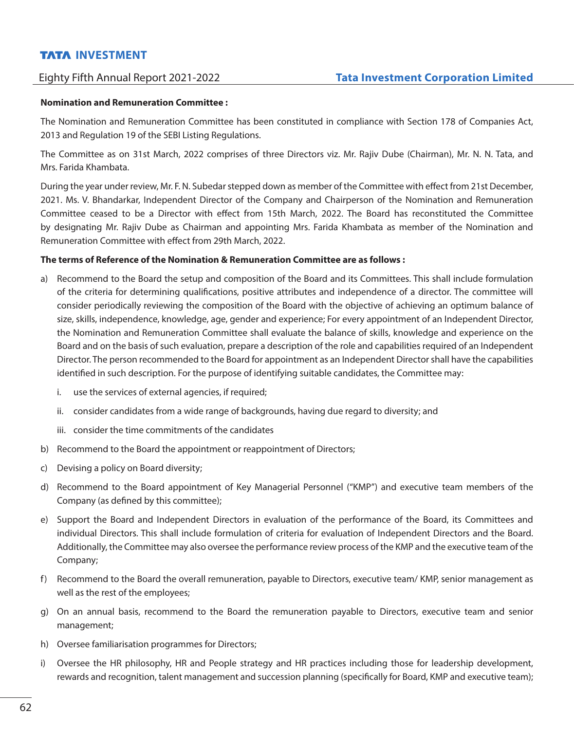### **Nomination and Remuneration Committee :**

The Nomination and Remuneration Committee has been constituted in compliance with Section 178 of Companies Act, 2013 and Regulation 19 of the SEBI Listing Regulations.

The Committee as on 31st March, 2022 comprises of three Directors viz. Mr. Rajiv Dube (Chairman), Mr. N. N. Tata, and Mrs. Farida Khambata.

During the year under review, Mr. F. N. Subedar stepped down as member of the Committee with effect from 21st December, 2021. Ms. V. Bhandarkar, Independent Director of the Company and Chairperson of the Nomination and Remuneration Committee ceased to be a Director with effect from 15th March, 2022. The Board has reconstituted the Committee by designating Mr. Rajiv Dube as Chairman and appointing Mrs. Farida Khambata as member of the Nomination and Remuneration Committee with effect from 29th March, 2022.

## **The terms of Reference of the Nomination & Remuneration Committee are as follows :**

- a) Recommend to the Board the setup and composition of the Board and its Committees. This shall include formulation of the criteria for determining qualifications, positive attributes and independence of a director. The committee will consider periodically reviewing the composition of the Board with the objective of achieving an optimum balance of size, skills, independence, knowledge, age, gender and experience; For every appointment of an Independent Director, the Nomination and Remuneration Committee shall evaluate the balance of skills, knowledge and experience on the Board and on the basis of such evaluation, prepare a description of the role and capabilities required of an Independent Director. The person recommended to the Board for appointment as an Independent Director shall have the capabilities identified in such description. For the purpose of identifying suitable candidates, the Committee may:
	- i. use the services of external agencies, if required;
	- ii. consider candidates from a wide range of backgrounds, having due regard to diversity; and
	- iii. consider the time commitments of the candidates
- b) Recommend to the Board the appointment or reappointment of Directors;
- c) Devising a policy on Board diversity;
- d) Recommend to the Board appointment of Key Managerial Personnel ("KMP") and executive team members of the Company (as defined by this committee);
- e) Support the Board and Independent Directors in evaluation of the performance of the Board, its Committees and individual Directors. This shall include formulation of criteria for evaluation of Independent Directors and the Board. Additionally, the Committee may also oversee the performance review process of the KMP and the executive team of the Company;
- f) Recommend to the Board the overall remuneration, payable to Directors, executive team/ KMP, senior management as well as the rest of the employees;
- g) On an annual basis, recommend to the Board the remuneration payable to Directors, executive team and senior management;
- h) Oversee familiarisation programmes for Directors;
- i) Oversee the HR philosophy, HR and People strategy and HR practices including those for leadership development, rewards and recognition, talent management and succession planning (specifically for Board, KMP and executive team);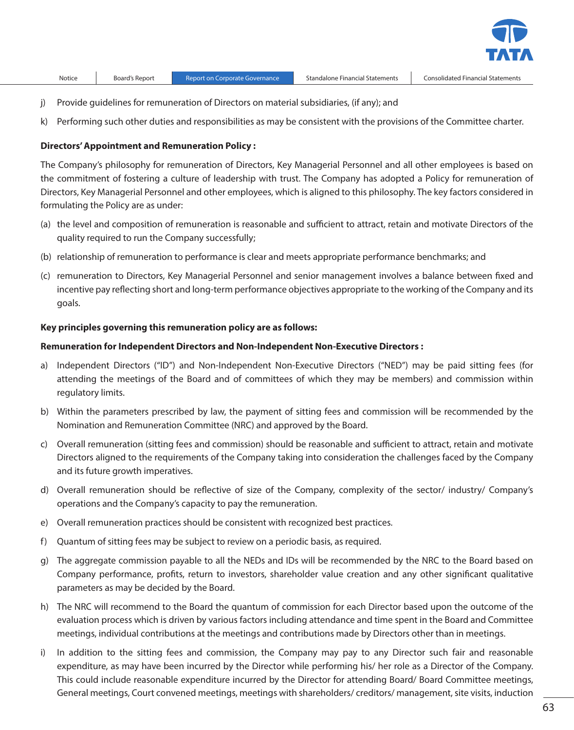

- j) Provide guidelines for remuneration of Directors on material subsidiaries, (if any); and
- k) Performing such other duties and responsibilities as may be consistent with the provisions of the Committee charter.

#### **Directors' Appointment and Remuneration Policy :**

The Company's philosophy for remuneration of Directors, Key Managerial Personnel and all other employees is based on the commitment of fostering a culture of leadership with trust. The Company has adopted a Policy for remuneration of Directors, Key Managerial Personnel and other employees, which is aligned to this philosophy. The key factors considered in formulating the Policy are as under:

- (a) the level and composition of remuneration is reasonable and sufficient to attract, retain and motivate Directors of the quality required to run the Company successfully;
- (b) relationship of remuneration to performance is clear and meets appropriate performance benchmarks; and
- (c) remuneration to Directors, Key Managerial Personnel and senior management involves a balance between fixed and incentive pay reflecting short and long-term performance objectives appropriate to the working of the Company and its goals.

### **Key principles governing this remuneration policy are as follows:**

#### **Remuneration for Independent Directors and Non-Independent Non-Executive Directors :**

- a) Independent Directors ("ID") and Non-Independent Non-Executive Directors ("NED") may be paid sitting fees (for attending the meetings of the Board and of committees of which they may be members) and commission within regulatory limits.
- b) Within the parameters prescribed by law, the payment of sitting fees and commission will be recommended by the Nomination and Remuneration Committee (NRC) and approved by the Board.
- c) Overall remuneration (sitting fees and commission) should be reasonable and sufficient to attract, retain and motivate Directors aligned to the requirements of the Company taking into consideration the challenges faced by the Company and its future growth imperatives.
- d) Overall remuneration should be reflective of size of the Company, complexity of the sector/ industry/ Company's operations and the Company's capacity to pay the remuneration.
- e) Overall remuneration practices should be consistent with recognized best practices.
- f) Quantum of sitting fees may be subject to review on a periodic basis, as required.
- g) The aggregate commission payable to all the NEDs and IDs will be recommended by the NRC to the Board based on Company performance, profits, return to investors, shareholder value creation and any other significant qualitative parameters as may be decided by the Board.
- h) The NRC will recommend to the Board the quantum of commission for each Director based upon the outcome of the evaluation process which is driven by various factors including attendance and time spent in the Board and Committee meetings, individual contributions at the meetings and contributions made by Directors other than in meetings.
- i) In addition to the sitting fees and commission, the Company may pay to any Director such fair and reasonable expenditure, as may have been incurred by the Director while performing his/ her role as a Director of the Company. This could include reasonable expenditure incurred by the Director for attending Board/ Board Committee meetings, General meetings, Court convened meetings, meetings with shareholders/ creditors/ management, site visits, induction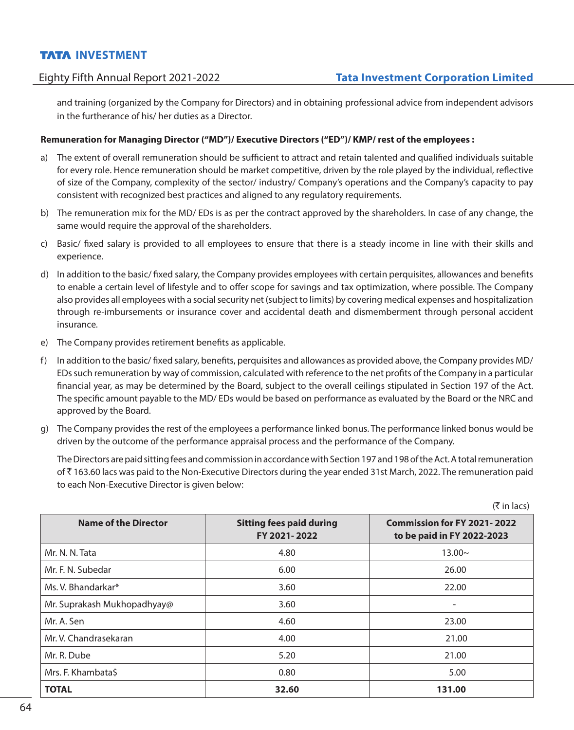and training (organized by the Company for Directors) and in obtaining professional advice from independent advisors in the furtherance of his/ her duties as a Director.

## **Remuneration for Managing Director ("MD")/ Executive Directors ("ED")/ KMP/ rest of the employees :**

- a) The extent of overall remuneration should be sufficient to attract and retain talented and qualified individuals suitable for every role. Hence remuneration should be market competitive, driven by the role played by the individual, reflective of size of the Company, complexity of the sector/ industry/ Company's operations and the Company's capacity to pay consistent with recognized best practices and aligned to any regulatory requirements.
- b) The remuneration mix for the MD/ EDs is as per the contract approved by the shareholders. In case of any change, the same would require the approval of the shareholders.
- c) Basic/ fixed salary is provided to all employees to ensure that there is a steady income in line with their skills and experience.
- d) In addition to the basic/ fixed salary, the Company provides employees with certain perquisites, allowances and benefits to enable a certain level of lifestyle and to offer scope for savings and tax optimization, where possible. The Company also provides all employees with a social security net (subject to limits) by covering medical expenses and hospitalization through re-imbursements or insurance cover and accidental death and dismemberment through personal accident insurance.
- e) The Company provides retirement benefits as applicable.
- f) In addition to the basic/ fixed salary, benefits, perquisites and allowances as provided above, the Company provides MD/ EDs such remuneration by way of commission, calculated with reference to the net profits of the Company in a particular financial year, as may be determined by the Board, subject to the overall ceilings stipulated in Section 197 of the Act. The specific amount payable to the MD/ EDs would be based on performance as evaluated by the Board or the NRC and approved by the Board.
- g) The Company provides the rest of the employees a performance linked bonus. The performance linked bonus would be driven by the outcome of the performance appraisal process and the performance of the Company.

 The Directors are paid sitting fees and commission in accordance with Section 197 and 198 of the Act. A total remuneration of ` 163.60 lacs was paid to the Non-Executive Directors during the year ended 31st March, 2022. The remuneration paid to each Non-Executive Director is given below:

| <b>Name of the Director</b> | <b>Sitting fees paid during</b><br>FY 2021-2022 | <b>Commission for FY 2021-2022</b><br>to be paid in FY 2022-2023 |
|-----------------------------|-------------------------------------------------|------------------------------------------------------------------|
| Mr. N. N. Tata              | 4.80                                            | $13.00\sim$                                                      |
| Mr. F. N. Subedar           | 6.00                                            | 26.00                                                            |
| Ms. V. Bhandarkar*          | 3.60                                            | 22.00                                                            |
| Mr. Suprakash Mukhopadhyay@ | 3.60                                            |                                                                  |
| Mr. A. Sen                  | 4.60                                            | 23.00                                                            |
| Mr. V. Chandrasekaran       | 4.00                                            | 21.00                                                            |
| Mr. R. Dube                 | 5.20                                            | 21.00                                                            |
| Mrs. F. Khambata\$          | 0.80                                            | 5.00                                                             |
| <b>TOTAL</b>                | 32.60                                           | 131.00                                                           |

 $(\bar{\tau}$  in lacs)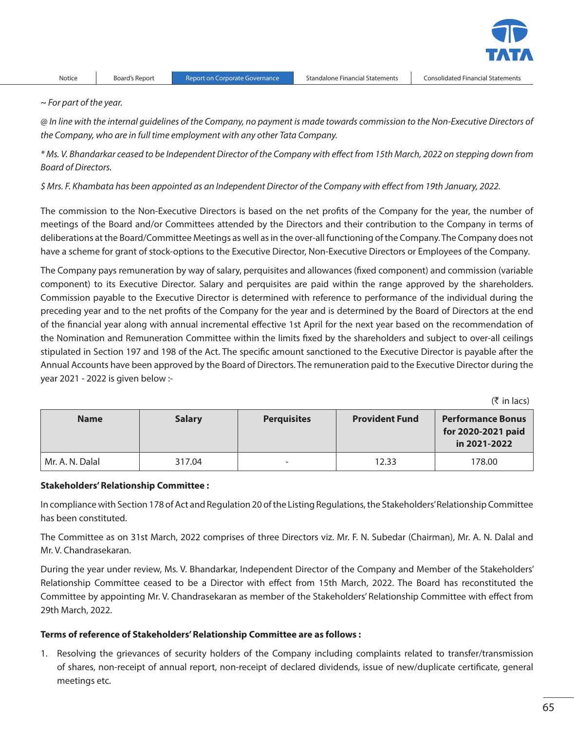

*~ For part of the year.*

*@ In line with the internal guidelines of the Company, no payment is made towards commission to the Non-Executive Directors of the Company, who are in full time employment with any other Tata Company.*

*\* Ms. V. Bhandarkar ceased to be Independent Director of the Company with effect from 15th March, 2022 on stepping down from Board of Directors.*

*\$ Mrs. F. Khambata has been appointed as an Independent Director of the Company with effect from 19th January, 2022.*

The commission to the Non-Executive Directors is based on the net profits of the Company for the year, the number of meetings of the Board and/or Committees attended by the Directors and their contribution to the Company in terms of deliberations at the Board/Committee Meetings as well as in the over-all functioning of the Company. The Company does not have a scheme for grant of stock-options to the Executive Director, Non-Executive Directors or Employees of the Company.

The Company pays remuneration by way of salary, perquisites and allowances (fixed component) and commission (variable component) to its Executive Director. Salary and perquisites are paid within the range approved by the shareholders. Commission payable to the Executive Director is determined with reference to performance of the individual during the preceding year and to the net profits of the Company for the year and is determined by the Board of Directors at the end of the financial year along with annual incremental effective 1st April for the next year based on the recommendation of the Nomination and Remuneration Committee within the limits fixed by the shareholders and subject to over-all ceilings stipulated in Section 197 and 198 of the Act. The specific amount sanctioned to the Executive Director is payable after the Annual Accounts have been approved by the Board of Directors. The remuneration paid to the Executive Director during the year 2021 - 2022 is given below :-

 $($ ₹ in lacs)

| <b>Name</b>     | <b>Salary</b> | <b>Perquisites</b>       | <b>Provident Fund</b> | <b>Performance Bonus</b><br>for 2020-2021 paid<br>in 2021-2022 |
|-----------------|---------------|--------------------------|-----------------------|----------------------------------------------------------------|
| Mr. A. N. Dalal | 317.04        | $\overline{\phantom{0}}$ | 12.33                 | 178.00                                                         |

### **Stakeholders' Relationship Committee :**

In compliance with Section 178 of Act and Regulation 20 of the Listing Regulations, the Stakeholders' Relationship Committee has been constituted.

The Committee as on 31st March, 2022 comprises of three Directors viz. Mr. F. N. Subedar (Chairman), Mr. A. N. Dalal and Mr. V. Chandrasekaran.

During the year under review, Ms. V. Bhandarkar, Independent Director of the Company and Member of the Stakeholders' Relationship Committee ceased to be a Director with effect from 15th March, 2022. The Board has reconstituted the Committee by appointing Mr. V. Chandrasekaran as member of the Stakeholders' Relationship Committee with effect from 29th March, 2022.

### **Terms of reference of Stakeholders' Relationship Committee are as follows :**

1. Resolving the grievances of security holders of the Company including complaints related to transfer/transmission of shares, non-receipt of annual report, non-receipt of declared dividends, issue of new/duplicate certificate, general meetings etc.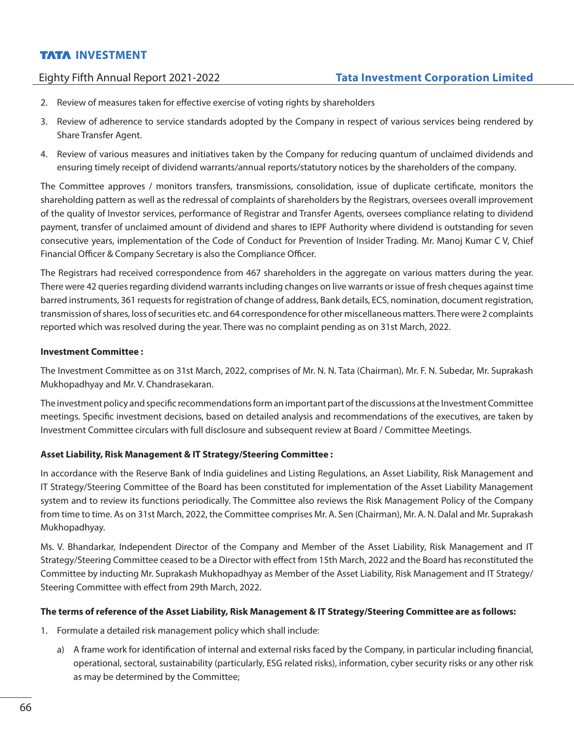# Eighty Fifth Annual Report 2021-2022 **Tata Investment Corporation Limited**

- 2. Review of measures taken for effective exercise of voting rights by shareholders
- 3. Review of adherence to service standards adopted by the Company in respect of various services being rendered by Share Transfer Agent.
- 4. Review of various measures and initiatives taken by the Company for reducing quantum of unclaimed dividends and ensuring timely receipt of dividend warrants/annual reports/statutory notices by the shareholders of the company.

The Committee approves / monitors transfers, transmissions, consolidation, issue of duplicate certificate, monitors the shareholding pattern as well as the redressal of complaints of shareholders by the Registrars, oversees overall improvement of the quality of Investor services, performance of Registrar and Transfer Agents, oversees compliance relating to dividend payment, transfer of unclaimed amount of dividend and shares to IEPF Authority where dividend is outstanding for seven consecutive years, implementation of the Code of Conduct for Prevention of Insider Trading. Mr. Manoj Kumar C V, Chief Financial Officer & Company Secretary is also the Compliance Officer.

The Registrars had received correspondence from 467 shareholders in the aggregate on various matters during the year. There were 42 queries regarding dividend warrants including changes on live warrants or issue of fresh cheques against time barred instruments, 361 requests for registration of change of address, Bank details, ECS, nomination, document registration, transmission of shares, loss of securities etc. and 64 correspondence for other miscellaneous matters. There were 2 complaints reported which was resolved during the year. There was no complaint pending as on 31st March, 2022.

## **Investment Committee :**

The Investment Committee as on 31st March, 2022, comprises of Mr. N. N. Tata (Chairman), Mr. F. N. Subedar, Mr. Suprakash Mukhopadhyay and Mr. V. Chandrasekaran.

The investment policy and specific recommendations form an important part of the discussions at the Investment Committee meetings. Specific investment decisions, based on detailed analysis and recommendations of the executives, are taken by Investment Committee circulars with full disclosure and subsequent review at Board / Committee Meetings.

# **Asset Liability, Risk Management & IT Strategy/Steering Committee :**

In accordance with the Reserve Bank of India guidelines and Listing Regulations, an Asset Liability, Risk Management and IT Strategy/Steering Committee of the Board has been constituted for implementation of the Asset Liability Management system and to review its functions periodically. The Committee also reviews the Risk Management Policy of the Company from time to time. As on 31st March, 2022, the Committee comprises Mr. A. Sen (Chairman), Mr. A. N. Dalal and Mr. Suprakash Mukhopadhyay.

Ms. V. Bhandarkar, Independent Director of the Company and Member of the Asset Liability, Risk Management and IT Strategy/Steering Committee ceased to be a Director with effect from 15th March, 2022 and the Board has reconstituted the Committee by inducting Mr. Suprakash Mukhopadhyay as Member of the Asset Liability, Risk Management and IT Strategy/ Steering Committee with effect from 29th March, 2022.

## **The terms of reference of the Asset Liability, Risk Management & IT Strategy/Steering Committee are as follows:**

- 1. Formulate a detailed risk management policy which shall include:
	- a) A frame work for identification of internal and external risks faced by the Company, in particular including financial, operational, sectoral, sustainability (particularly, ESG related risks), information, cyber security risks or any other risk as may be determined by the Committee;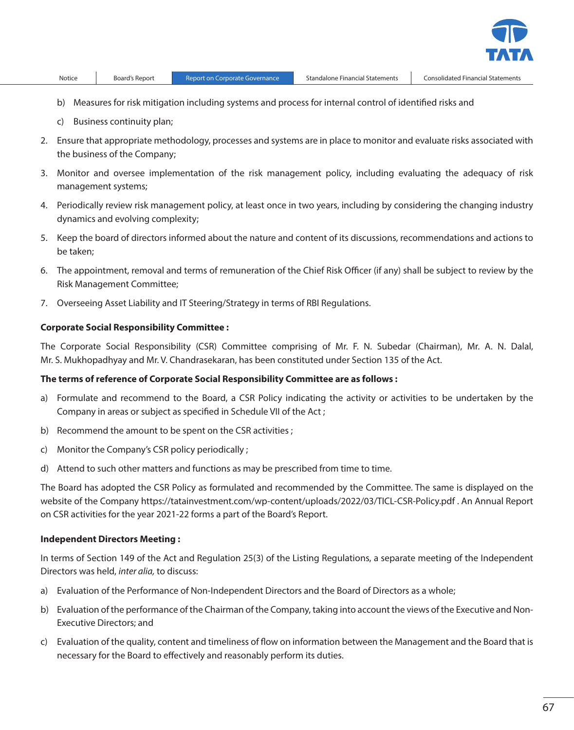- b) Measures for risk mitigation including systems and process for internal control of identified risks and
- c) Business continuity plan;
- 2. Ensure that appropriate methodology, processes and systems are in place to monitor and evaluate risks associated with the business of the Company;
- 3. Monitor and oversee implementation of the risk management policy, including evaluating the adequacy of risk management systems;
- 4. Periodically review risk management policy, at least once in two years, including by considering the changing industry dynamics and evolving complexity;
- 5. Keep the board of directors informed about the nature and content of its discussions, recommendations and actions to be taken;
- 6. The appointment, removal and terms of remuneration of the Chief Risk Officer (if any) shall be subject to review by the Risk Management Committee;
- 7. Overseeing Asset Liability and IT Steering/Strategy in terms of RBI Regulations.

#### **Corporate Social Responsibility Committee :**

The Corporate Social Responsibility (CSR) Committee comprising of Mr. F. N. Subedar (Chairman), Mr. A. N. Dalal, Mr. S. Mukhopadhyay and Mr. V. Chandrasekaran, has been constituted under Section 135 of the Act.

#### **The terms of reference of Corporate Social Responsibility Committee are as follows :**

- a) Formulate and recommend to the Board, a CSR Policy indicating the activity or activities to be undertaken by the Company in areas or subject as specified in Schedule VII of the Act ;
- b) Recommend the amount to be spent on the CSR activities ;
- c) Monitor the Company's CSR policy periodically ;
- d) Attend to such other matters and functions as may be prescribed from time to time.

The Board has adopted the CSR Policy as formulated and recommended by the Committee. The same is displayed on the website of the Company https://tatainvestment.com/wp-content/uploads/2022/03/TICL-CSR-Policy.pdf . An Annual Report on CSR activities for the year 2021-22 forms a part of the Board's Report.

#### **Independent Directors Meeting :**

In terms of Section 149 of the Act and Regulation 25(3) of the Listing Regulations, a separate meeting of the Independent Directors was held, *inter alia,* to discuss:

- a) Evaluation of the Performance of Non-Independent Directors and the Board of Directors as a whole;
- b) Evaluation of the performance of the Chairman of the Company, taking into account the views of the Executive and Non-Executive Directors; and
- c) Evaluation of the quality, content and timeliness of flow on information between the Management and the Board that is necessary for the Board to effectively and reasonably perform its duties.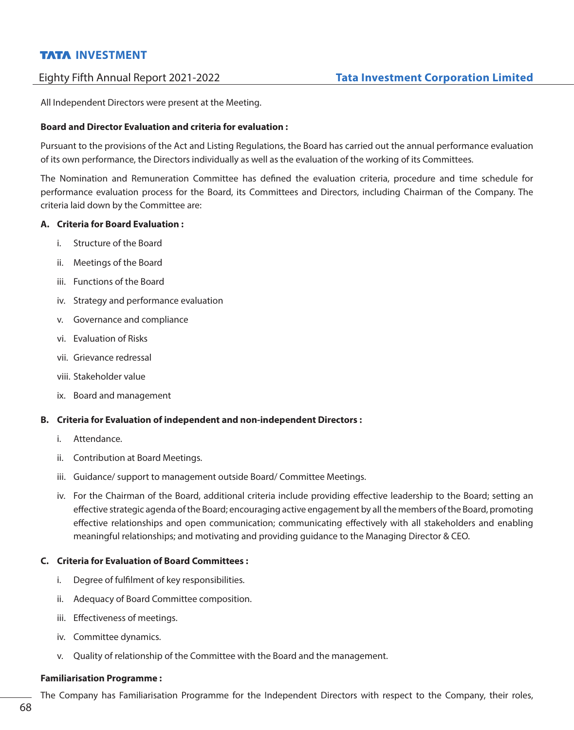All Independent Directors were present at the Meeting.

## **Board and Director Evaluation and criteria for evaluation :**

Pursuant to the provisions of the Act and Listing Regulations, the Board has carried out the annual performance evaluation of its own performance, the Directors individually as well as the evaluation of the working of its Committees.

The Nomination and Remuneration Committee has defined the evaluation criteria, procedure and time schedule for performance evaluation process for the Board, its Committees and Directors, including Chairman of the Company. The criteria laid down by the Committee are:

## **A. Criteria for Board Evaluation :**

- i. Structure of the Board
- ii. Meetings of the Board
- iii. Functions of the Board
- iv. Strategy and performance evaluation
- v. Governance and compliance
- vi. Evaluation of Risks
- vii. Grievance redressal
- viii. Stakeholder value
- ix. Board and management

## **B. Criteria for Evaluation of independent and non-independent Directors :**

- i. Attendance.
- ii. Contribution at Board Meetings.
- iii. Guidance/ support to management outside Board/ Committee Meetings.
- iv. For the Chairman of the Board, additional criteria include providing effective leadership to the Board; setting an effective strategic agenda of the Board; encouraging active engagement by all the members of the Board, promoting effective relationships and open communication; communicating effectively with all stakeholders and enabling meaningful relationships; and motivating and providing guidance to the Managing Director & CEO.

## **C. Criteria for Evaluation of Board Committees :**

- i. Degree of fulfilment of key responsibilities.
- ii. Adequacy of Board Committee composition.
- iii. Effectiveness of meetings.
- iv. Committee dynamics.
- v. Quality of relationship of the Committee with the Board and the management.

### **Familiarisation Programme :**

The Company has Familiarisation Programme for the Independent Directors with respect to the Company, their roles,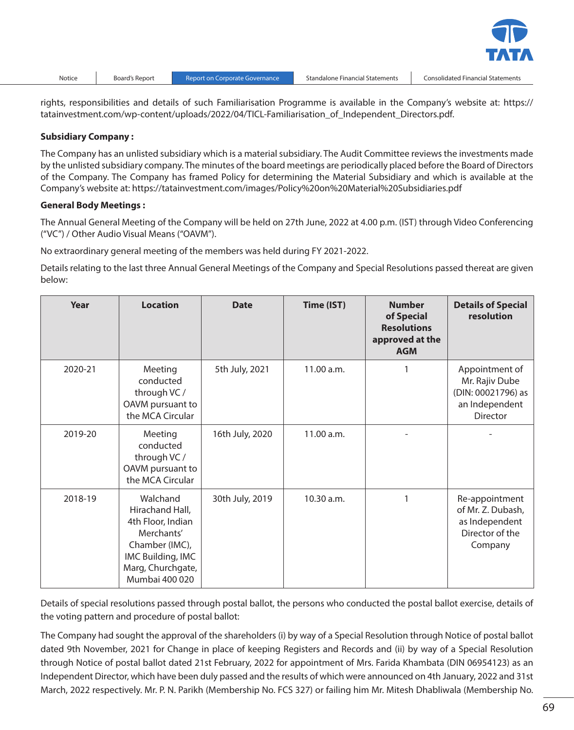rights, responsibilities and details of such Familiarisation Programme is available in the Company's website at: https:// tatainvestment.com/wp-content/uploads/2022/04/TICL-Familiarisation of Independent Directors.pdf.

#### **Subsidiary Company :**

The Company has an unlisted subsidiary which is a material subsidiary. The Audit Committee reviews the investments made by the unlisted subsidiary company. The minutes of the board meetings are periodically placed before the Board of Directors of the Company. The Company has framed Policy for determining the Material Subsidiary and which is available at the Company's website at: https://tatainvestment.com/images/Policy%20on%20Material%20Subsidiaries.pdf

#### **General Body Meetings :**

The Annual General Meeting of the Company will be held on 27th June, 2022 at 4.00 p.m. (IST) through Video Conferencing ("VC") / Other Audio Visual Means ("OAVM").

No extraordinary general meeting of the members was held during FY 2021-2022.

Details relating to the last three Annual General Meetings of the Company and Special Resolutions passed thereat are given below:

| Year    | <b>Location</b>                                                                                                                              | <b>Date</b>     | Time (IST) | <b>Number</b><br>of Special<br><b>Resolutions</b><br>approved at the<br><b>AGM</b> | <b>Details of Special</b><br>resolution                                                     |
|---------|----------------------------------------------------------------------------------------------------------------------------------------------|-----------------|------------|------------------------------------------------------------------------------------|---------------------------------------------------------------------------------------------|
| 2020-21 | Meeting<br>conducted<br>through VC /<br>OAVM pursuant to<br>the MCA Circular                                                                 | 5th July, 2021  | 11.00 a.m. |                                                                                    | Appointment of<br>Mr. Rajiv Dube<br>(DIN: 00021796) as<br>an Independent<br><b>Director</b> |
| 2019-20 | Meeting<br>conducted<br>through VC /<br>OAVM pursuant to<br>the MCA Circular                                                                 | 16th July, 2020 | 11.00 a.m. |                                                                                    |                                                                                             |
| 2018-19 | Walchand<br>Hirachand Hall,<br>4th Floor, Indian<br>Merchants'<br>Chamber (IMC),<br>IMC Building, IMC<br>Marg, Churchgate,<br>Mumbai 400 020 | 30th July, 2019 | 10.30 a.m. | 1                                                                                  | Re-appointment<br>of Mr. Z. Dubash,<br>as Independent<br>Director of the<br>Company         |

Details of special resolutions passed through postal ballot, the persons who conducted the postal ballot exercise, details of the voting pattern and procedure of postal ballot:

The Company had sought the approval of the shareholders (i) by way of a Special Resolution through Notice of postal ballot dated 9th November, 2021 for Change in place of keeping Registers and Records and (ii) by way of a Special Resolution through Notice of postal ballot dated 21st February, 2022 for appointment of Mrs. Farida Khambata (DIN 06954123) as an Independent Director, which have been duly passed and the results of which were announced on 4th January, 2022 and 31st March, 2022 respectively. Mr. P. N. Parikh (Membership No. FCS 327) or failing him Mr. Mitesh Dhabliwala (Membership No.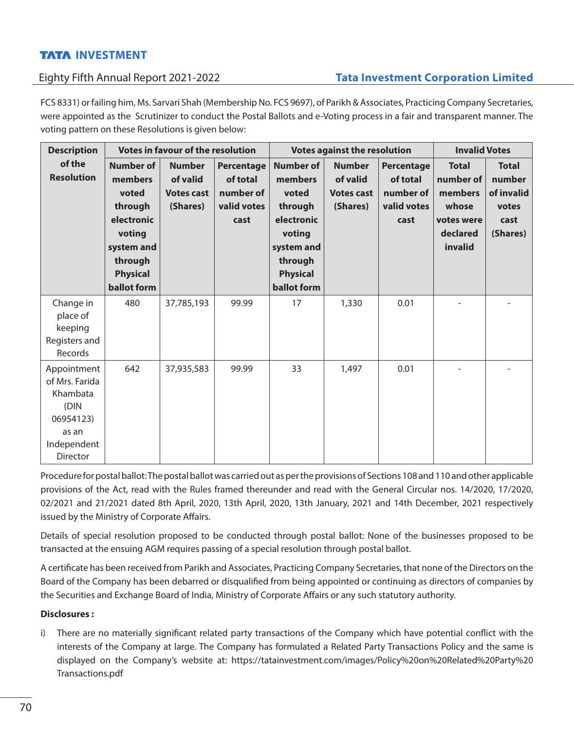# Eighty Fifth Annual Report 2021-2022 **Tata Investment Corporation Limited**

FCS 8331) or failing him, Ms. Sarvari Shah (Membership No. FCS 9697), of Parikh & Associates, Practicing Company Secretaries, were appointed as the Scrutinizer to conduct the Postal Ballots and e-Voting process in a fair and transparent manner. The voting pattern on these Resolutions is given below:

| <b>Description</b>                                                                                        |                                                                                                                                           | <b>Votes in favour of the resolution</b>                   |                                                            |                                                                                                                                           | <b>Votes against the resolution</b>                        | <b>Invalid Votes</b>                                       |                                                                                    |                                                                   |
|-----------------------------------------------------------------------------------------------------------|-------------------------------------------------------------------------------------------------------------------------------------------|------------------------------------------------------------|------------------------------------------------------------|-------------------------------------------------------------------------------------------------------------------------------------------|------------------------------------------------------------|------------------------------------------------------------|------------------------------------------------------------------------------------|-------------------------------------------------------------------|
| of the<br><b>Resolution</b>                                                                               | <b>Number of</b><br>members<br>voted<br>through<br>electronic<br>voting<br>system and<br>through<br><b>Physical</b><br><b>ballot</b> form | <b>Number</b><br>of valid<br><b>Votes cast</b><br>(Shares) | Percentage<br>of total<br>number of<br>valid votes<br>cast | <b>Number of</b><br>members<br>voted<br>through<br>electronic<br>voting<br>system and<br>through<br><b>Physical</b><br><b>ballot</b> form | <b>Number</b><br>of valid<br><b>Votes cast</b><br>(Shares) | Percentage<br>of total<br>number of<br>valid votes<br>cast | <b>Total</b><br>number of<br>members<br>whose<br>votes were<br>declared<br>invalid | <b>Total</b><br>number<br>of invalid<br>votes<br>cast<br>(Shares) |
| Change in<br>place of<br>keeping<br>Registers and<br>Records                                              | 480                                                                                                                                       | 37,785,193                                                 | 99.99                                                      | 17                                                                                                                                        | 1,330                                                      | 0.01                                                       |                                                                                    |                                                                   |
| Appointment<br>of Mrs. Farida<br>Khambata<br>(DIN<br>06954123)<br>as an<br>Independent<br><b>Director</b> | 642                                                                                                                                       | 37,935,583                                                 | 99.99                                                      | 33                                                                                                                                        | 1,497                                                      | 0.01                                                       |                                                                                    |                                                                   |

Procedure for postal ballot: The postal ballot was carried out as per the provisions of Sections 108 and 110 and other applicable provisions of the Act, read with the Rules framed thereunder and read with the General Circular nos. 14/2020, 17/2020, 02/2021 and 21/2021 dated 8th April, 2020, 13th April, 2020, 13th January, 2021 and 14th December, 2021 respectively issued by the Ministry of Corporate Affairs.

Details of special resolution proposed to be conducted through postal ballot: None of the businesses proposed to be transacted at the ensuing AGM requires passing of a special resolution through postal ballot.

A certificate has been received from Parikh and Associates, Practicing Company Secretaries, that none of the Directors on the Board of the Company has been debarred or disqualified from being appointed or continuing as directors of companies by the Securities and Exchange Board of India, Ministry of Corporate Affairs or any such statutory authority.

## **Disclosures :**

i) There are no materially significant related party transactions of the Company which have potential conflict with the interests of the Company at large. The Company has formulated a Related Party Transactions Policy and the same is displayed on the Company's website at: https://tatainvestment.com/images/Policy%20on%20Related%20Party%20 Transactions.pdf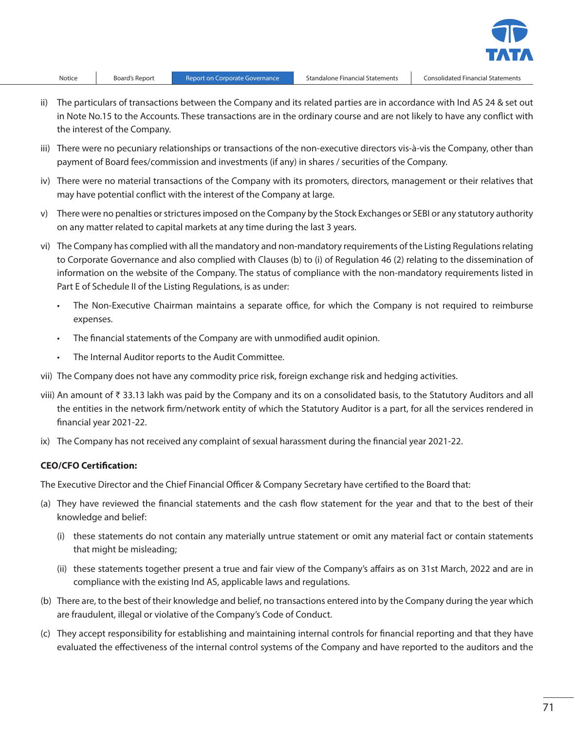

- ii) The particulars of transactions between the Company and its related parties are in accordance with Ind AS 24 & set out in Note No.15 to the Accounts. These transactions are in the ordinary course and are not likely to have any conflict with the interest of the Company.
- iii) There were no pecuniary relationships or transactions of the non-executive directors vis-à-vis the Company, other than payment of Board fees/commission and investments (if any) in shares / securities of the Company.
- iv) There were no material transactions of the Company with its promoters, directors, management or their relatives that may have potential conflict with the interest of the Company at large.
- v) There were no penalties or strictures imposed on the Company by the Stock Exchanges or SEBI or any statutory authority on any matter related to capital markets at any time during the last 3 years.
- vi) The Company has complied with all the mandatory and non-mandatory requirements of the Listing Regulations relating to Corporate Governance and also complied with Clauses (b) to (i) of Regulation 46 (2) relating to the dissemination of information on the website of the Company. The status of compliance with the non-mandatory requirements listed in Part E of Schedule II of the Listing Regulations, is as under:
	- The Non-Executive Chairman maintains a separate office, for which the Company is not required to reimburse expenses.
	- • The financial statements of the Company are with unmodified audit opinion.
	- • The Internal Auditor reports to the Audit Committee.
- vii) The Company does not have any commodity price risk, foreign exchange risk and hedging activities.
- viii) An amount of ₹ 33.13 lakh was paid by the Company and its on a consolidated basis, to the Statutory Auditors and all the entities in the network firm/network entity of which the Statutory Auditor is a part, for all the services rendered in financial year 2021-22.
- ix) The Company has not received any complaint of sexual harassment during the financial year 2021-22.

### **CEO/CFO Certification:**

The Executive Director and the Chief Financial Officer & Company Secretary have certified to the Board that:

- (a) They have reviewed the financial statements and the cash flow statement for the year and that to the best of their knowledge and belief:
	- (i) these statements do not contain any materially untrue statement or omit any material fact or contain statements that might be misleading;
	- (ii) these statements together present a true and fair view of the Company's affairs as on 31st March, 2022 and are in compliance with the existing Ind AS, applicable laws and regulations.
- (b) There are, to the best of their knowledge and belief, no transactions entered into by the Company during the year which are fraudulent, illegal or violative of the Company's Code of Conduct.
- (c) They accept responsibility for establishing and maintaining internal controls for financial reporting and that they have evaluated the effectiveness of the internal control systems of the Company and have reported to the auditors and the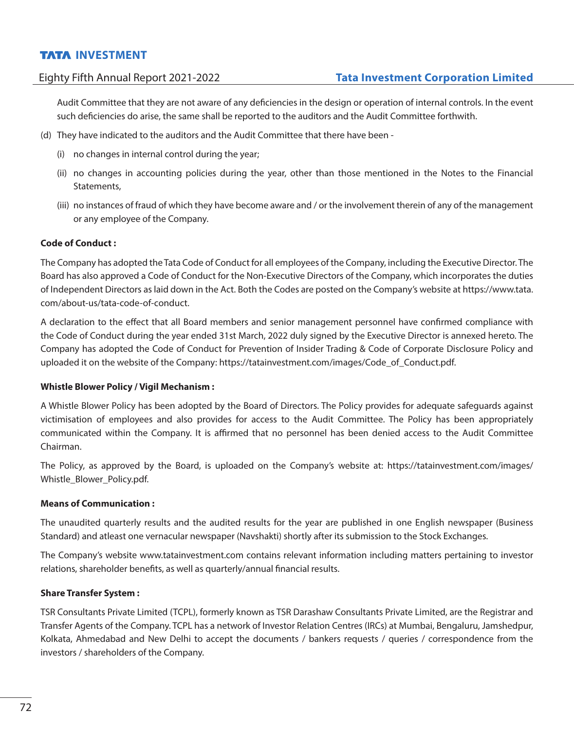Audit Committee that they are not aware of any deficiencies in the design or operation of internal controls. In the event such deficiencies do arise, the same shall be reported to the auditors and the Audit Committee forthwith.

- (d) They have indicated to the auditors and the Audit Committee that there have been
	- (i) no changes in internal control during the year;
	- (ii) no changes in accounting policies during the year, other than those mentioned in the Notes to the Financial Statements,
	- (iii) no instances of fraud of which they have become aware and / or the involvement therein of any of the management or any employee of the Company.

## **Code of Conduct :**

The Company has adopted the Tata Code of Conduct for all employees of the Company, including the Executive Director. The Board has also approved a Code of Conduct for the Non-Executive Directors of the Company, which incorporates the duties of Independent Directors as laid down in the Act. Both the Codes are posted on the Company's website at https://www.tata. com/about-us/tata-code-of-conduct.

A declaration to the effect that all Board members and senior management personnel have confirmed compliance with the Code of Conduct during the year ended 31st March, 2022 duly signed by the Executive Director is annexed hereto. The Company has adopted the Code of Conduct for Prevention of Insider Trading & Code of Corporate Disclosure Policy and uploaded it on the website of the Company: https://tatainvestment.com/images/Code\_of\_Conduct.pdf.

## **Whistle Blower Policy / Vigil Mechanism :**

A Whistle Blower Policy has been adopted by the Board of Directors. The Policy provides for adequate safeguards against victimisation of employees and also provides for access to the Audit Committee. The Policy has been appropriately communicated within the Company. It is affirmed that no personnel has been denied access to the Audit Committee Chairman.

The Policy, as approved by the Board, is uploaded on the Company's website at: https://tatainvestment.com/images/ Whistle Blower Policy.pdf.

### **Means of Communication :**

The unaudited quarterly results and the audited results for the year are published in one English newspaper (Business Standard) and atleast one vernacular newspaper (Navshakti) shortly after its submission to the Stock Exchanges.

The Company's website www.tatainvestment.com contains relevant information including matters pertaining to investor relations, shareholder benefits, as well as quarterly/annual financial results.

### **Share Transfer System :**

TSR Consultants Private Limited (TCPL), formerly known as TSR Darashaw Consultants Private Limited, are the Registrar and Transfer Agents of the Company. TCPL has a network of Investor Relation Centres (IRCs) at Mumbai, Bengaluru, Jamshedpur, Kolkata, Ahmedabad and New Delhi to accept the documents / bankers requests / queries / correspondence from the investors / shareholders of the Company.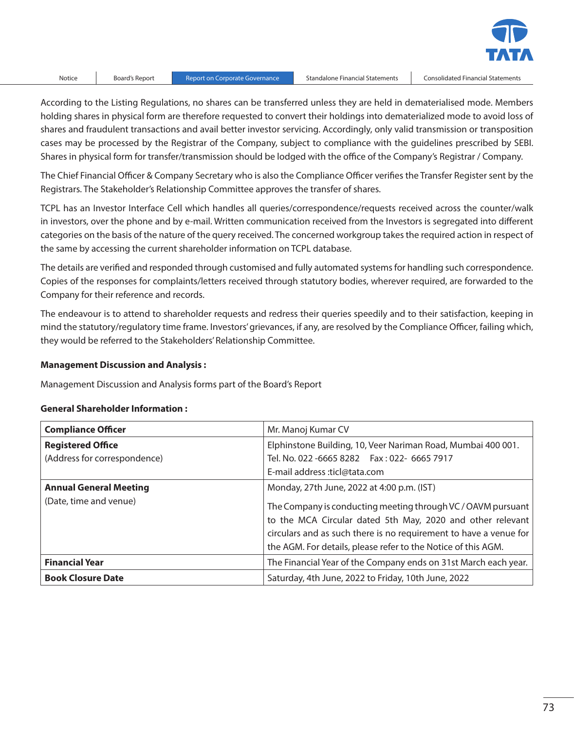

According to the Listing Regulations, no shares can be transferred unless they are held in dematerialised mode. Members holding shares in physical form are therefore requested to convert their holdings into dematerialized mode to avoid loss of shares and fraudulent transactions and avail better investor servicing. Accordingly, only valid transmission or transposition cases may be processed by the Registrar of the Company, subject to compliance with the guidelines prescribed by SEBI. Shares in physical form for transfer/transmission should be lodged with the office of the Company's Registrar / Company.

The Chief Financial Officer & Company Secretary who is also the Compliance Officer verifies the Transfer Register sent by the Registrars. The Stakeholder's Relationship Committee approves the transfer of shares.

TCPL has an Investor Interface Cell which handles all queries/correspondence/requests received across the counter/walk in investors, over the phone and by e-mail. Written communication received from the Investors is segregated into different categories on the basis of the nature of the query received. The concerned workgroup takes the required action in respect of the same by accessing the current shareholder information on TCPL database.

The details are verified and responded through customised and fully automated systems for handling such correspondence. Copies of the responses for complaints/letters received through statutory bodies, wherever required, are forwarded to the Company for their reference and records.

The endeavour is to attend to shareholder requests and redress their queries speedily and to their satisfaction, keeping in mind the statutory/regulatory time frame. Investors' grievances, if any, are resolved by the Compliance Officer, failing which, they would be referred to the Stakeholders' Relationship Committee.

### **Management Discussion and Analysis :**

Management Discussion and Analysis forms part of the Board's Report

### **General Shareholder Information :**

| <b>Compliance Officer</b>     | Mr. Manoj Kumar CV                                                                                                                                                                                                                                               |
|-------------------------------|------------------------------------------------------------------------------------------------------------------------------------------------------------------------------------------------------------------------------------------------------------------|
| <b>Registered Office</b>      | Elphinstone Building, 10, Veer Nariman Road, Mumbai 400 001.                                                                                                                                                                                                     |
| (Address for correspondence)  | Tel. No. 022 -6665 8282   Fax: 022- 6665 7917                                                                                                                                                                                                                    |
|                               | E-mail address :ticl@tata.com                                                                                                                                                                                                                                    |
| <b>Annual General Meeting</b> | Monday, 27th June, 2022 at 4:00 p.m. (IST)                                                                                                                                                                                                                       |
| (Date, time and venue)        | The Company is conducting meeting through VC / OAVM pursuant<br>to the MCA Circular dated 5th May, 2020 and other relevant<br>circulars and as such there is no requirement to have a venue for<br>the AGM. For details, please refer to the Notice of this AGM. |
| <b>Financial Year</b>         | The Financial Year of the Company ends on 31st March each year.                                                                                                                                                                                                  |
| <b>Book Closure Date</b>      | Saturday, 4th June, 2022 to Friday, 10th June, 2022                                                                                                                                                                                                              |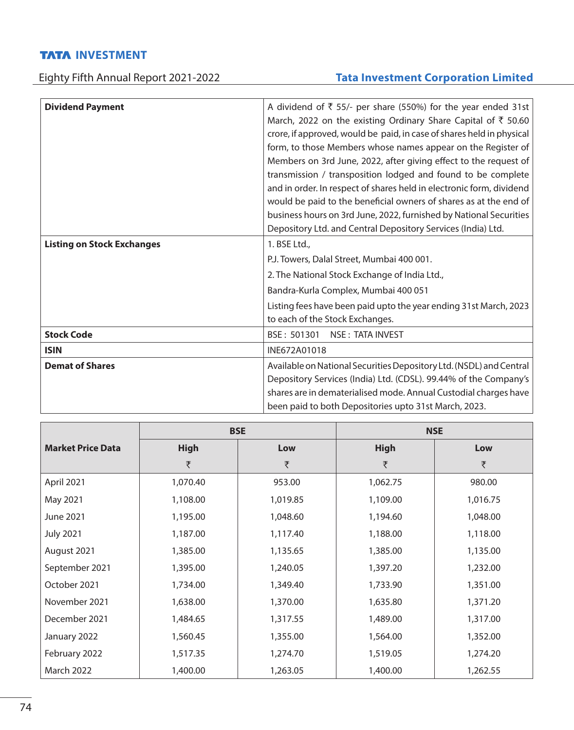# Eighty Fifth Annual Report 2021-2022 **Tata Investment Corporation Limited**

| <b>Dividend Payment</b>           | A dividend of $\overline{\xi}$ 55/- per share (550%) for the year ended 31st |  |  |  |  |
|-----------------------------------|------------------------------------------------------------------------------|--|--|--|--|
|                                   | March, 2022 on the existing Ordinary Share Capital of $\bar{\tau}$ 50.60     |  |  |  |  |
|                                   | crore, if approved, would be paid, in case of shares held in physical        |  |  |  |  |
|                                   | form, to those Members whose names appear on the Register of                 |  |  |  |  |
|                                   | Members on 3rd June, 2022, after giving effect to the request of             |  |  |  |  |
|                                   | transmission / transposition lodged and found to be complete                 |  |  |  |  |
|                                   | and in order. In respect of shares held in electronic form, dividend         |  |  |  |  |
|                                   | would be paid to the beneficial owners of shares as at the end of            |  |  |  |  |
|                                   | business hours on 3rd June, 2022, furnished by National Securities           |  |  |  |  |
|                                   | Depository Ltd. and Central Depository Services (India) Ltd.                 |  |  |  |  |
| <b>Listing on Stock Exchanges</b> | 1. BSE Ltd.,                                                                 |  |  |  |  |
|                                   | P.J. Towers, Dalal Street, Mumbai 400 001.                                   |  |  |  |  |
|                                   | 2. The National Stock Exchange of India Ltd.,                                |  |  |  |  |
|                                   | Bandra-Kurla Complex, Mumbai 400 051                                         |  |  |  |  |
|                                   | Listing fees have been paid upto the year ending 31st March, 2023            |  |  |  |  |
|                                   | to each of the Stock Exchanges.                                              |  |  |  |  |
| <b>Stock Code</b>                 | BSE: 501301<br><b>NSE: TATA INVEST</b>                                       |  |  |  |  |
| <b>ISIN</b>                       | INE672A01018                                                                 |  |  |  |  |
| <b>Demat of Shares</b>            | Available on National Securities Depository Ltd. (NSDL) and Central          |  |  |  |  |
|                                   | Depository Services (India) Ltd. (CDSL). 99.44% of the Company's             |  |  |  |  |
|                                   | shares are in dematerialised mode. Annual Custodial charges have             |  |  |  |  |
|                                   | been paid to both Depositories upto 31st March, 2023.                        |  |  |  |  |
|                                   |                                                                              |  |  |  |  |

|                          | <b>BSE</b>  |          | <b>NSE</b>  |          |  |
|--------------------------|-------------|----------|-------------|----------|--|
| <b>Market Price Data</b> | <b>High</b> | Low      | <b>High</b> | Low      |  |
|                          | ₹           | ₹        | ₹           | ₹        |  |
| April 2021               | 1,070.40    | 953.00   | 1,062.75    | 980.00   |  |
| May 2021                 | 1,108.00    | 1,019.85 | 1,109.00    | 1,016.75 |  |
| June 2021                | 1,195.00    | 1,048.60 | 1,194.60    | 1,048.00 |  |
| <b>July 2021</b>         | 1,187.00    | 1,117.40 | 1,188.00    | 1,118.00 |  |
| August 2021              | 1,385.00    | 1,135.65 | 1,385.00    | 1,135.00 |  |
| September 2021           | 1,395.00    | 1,240.05 | 1,397.20    | 1,232.00 |  |
| October 2021             | 1,734.00    | 1,349.40 | 1,733.90    | 1,351.00 |  |
| November 2021            | 1,638.00    | 1,370.00 | 1,635.80    | 1,371.20 |  |
| December 2021            | 1,484.65    | 1,317.55 | 1,489.00    | 1,317.00 |  |
| January 2022             | 1,560.45    | 1,355.00 | 1,564.00    | 1,352.00 |  |
| February 2022            | 1,517.35    | 1,274.70 | 1,519.05    | 1,274.20 |  |
| <b>March 2022</b>        | 1,400.00    | 1,263.05 | 1,400.00    | 1,262.55 |  |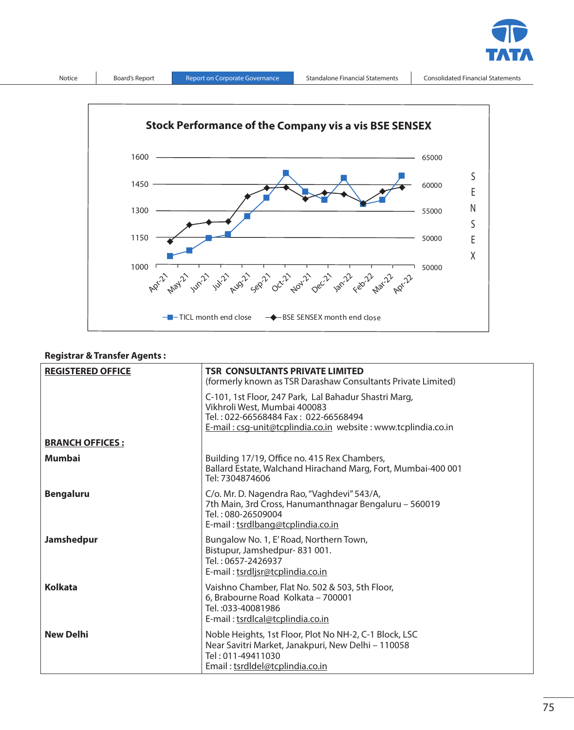



## **Registrar & Transfer Agents :**

| <b>REGISTERED OFFICE</b> | <b>TSR CONSULTANTS PRIVATE LIMITED</b><br>(formerly known as TSR Darashaw Consultants Private Limited)                                                                                         |  |
|--------------------------|------------------------------------------------------------------------------------------------------------------------------------------------------------------------------------------------|--|
|                          | C-101, 1st Floor, 247 Park, Lal Bahadur Shastri Marg,<br>Vikhroli West, Mumbai 400083<br>Tel.: 022-66568484 Fax: 022-66568494<br>E-mail: csg-unit@tcplindia.co.in website: www.tcplindia.co.in |  |
| <b>BRANCH OFFICES:</b>   |                                                                                                                                                                                                |  |
| <b>Mumbai</b>            | Building 17/19, Office no. 415 Rex Chambers,<br>Ballard Estate, Walchand Hirachand Marg, Fort, Mumbai-400 001<br>Tel: 7304874606                                                               |  |
| <b>Bengaluru</b>         | C/o. Mr. D. Nagendra Rao, "Vaghdevi" 543/A,<br>7th Main, 3rd Cross, Hanumanthnagar Bengaluru - 560019<br>Tel.: 080-26509004<br>E-mail: tsrdlbang@tcplindia.co.in                               |  |
| <b>Jamshedpur</b>        | Bungalow No. 1, E' Road, Northern Town,<br>Bistupur, Jamshedpur-831001.<br>Tel.: 0657-2426937<br>E-mail: tsrdljsr@tcplindia.co.in                                                              |  |
| <b>Kolkata</b>           | Vaishno Chamber, Flat No. 502 & 503, 5th Floor,<br>6. Brabourne Road Kolkata - 700001<br>Tel.: 033-40081986<br>E-mail: tsrdlcal@tcplindia.co.in                                                |  |
| <b>New Delhi</b>         | Noble Heights, 1st Floor, Plot No NH-2, C-1 Block, LSC<br>Near Savitri Market, Janakpuri, New Delhi - 110058<br>Tel: 011-49411030<br>Email: tsrdldel@tcplindia.co.in                           |  |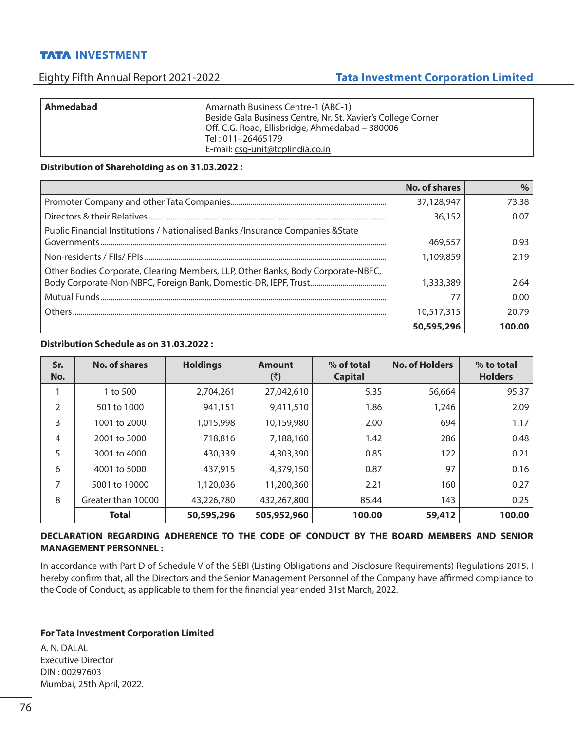# Eighty Fifth Annual Report 2021-2022 **Tata Investment Corporation Limited**

| Ahmedabad | Amarnath Business Centre-1 (ABC-1)<br>Beside Gala Business Centre, Nr. St. Xavier's College Corner<br>Off. C.G. Road, Ellisbridge, Ahmedabad - 380006<br>Tel: 011-26465179 |
|-----------|----------------------------------------------------------------------------------------------------------------------------------------------------------------------------|
|           | E-mail: csg-unit@tcplindia.co.in                                                                                                                                           |

## **Distribution of Shareholding as on 31.03.2022 :**

|                                                                                  | <b>No. of shares</b> | $\%$   |
|----------------------------------------------------------------------------------|----------------------|--------|
|                                                                                  | 37,128,947           | 73.38  |
|                                                                                  | 36,152               | 0.07   |
| Public Financial Institutions / Nationalised Banks /Insurance Companies & State  |                      |        |
|                                                                                  | 469,557              | 0.93   |
|                                                                                  | 1,109,859            | 2.19   |
| Other Bodies Corporate, Clearing Members, LLP, Other Banks, Body Corporate-NBFC, |                      |        |
|                                                                                  | 1,333,389            | 2.64   |
|                                                                                  |                      | 0.00   |
|                                                                                  | 10,517,315           | 20.79  |
|                                                                                  | 50,595,296           | 100.00 |

# **Distribution Schedule as on 31.03.2022 :**

| Sr.<br>No. | <b>No. of shares</b> | <b>Holdings</b> | <b>Amount</b><br>(₹) | % of total<br><b>Capital</b> | <b>No. of Holders</b> | % to total<br><b>Holders</b> |
|------------|----------------------|-----------------|----------------------|------------------------------|-----------------------|------------------------------|
|            | 1 to 500             | 2,704,261       | 27,042,610           | 5.35                         | 56,664                | 95.37                        |
| 2          | 501 to 1000          | 941,151         | 9,411,510            | 1.86                         | 1,246                 | 2.09                         |
| 3          | 1001 to 2000         | 1,015,998       | 10,159,980           | 2.00                         | 694                   | 1.17                         |
| 4          | 2001 to 3000         | 718,816         | 7,188,160            | 1.42                         | 286                   | 0.48                         |
| 5          | 3001 to 4000         | 430,339         | 4,303,390            | 0.85                         | 122                   | 0.21                         |
| 6          | 4001 to 5000         | 437,915         | 4,379,150            | 0.87                         | 97                    | 0.16                         |
| 7          | 5001 to 10000        | 1,120,036       | 11,200,360           | 2.21                         | 160                   | 0.27                         |
| 8          | Greater than 10000   | 43,226,780      | 432,267,800          | 85.44                        | 143                   | 0.25                         |
|            | <b>Total</b>         | 50,595,296      | 505,952,960          | 100.00                       | 59,412                | 100.00                       |

## **DECLARATION REGARDING ADHERENCE TO THE CODE OF CONDUCT BY THE BOARD MEMBERS AND SENIOR MANAGEMENT PERSONNEL :**

In accordance with Part D of Schedule V of the SEBI (Listing Obligations and Disclosure Requirements) Regulations 2015, I hereby confirm that, all the Directors and the Senior Management Personnel of the Company have affirmed compliance to the Code of Conduct, as applicable to them for the financial year ended 31st March, 2022.

## **For Tata Investment Corporation Limited**

A. N. DALAL Executive Director DIN : 00297603 Mumbai, 25th April, 2022.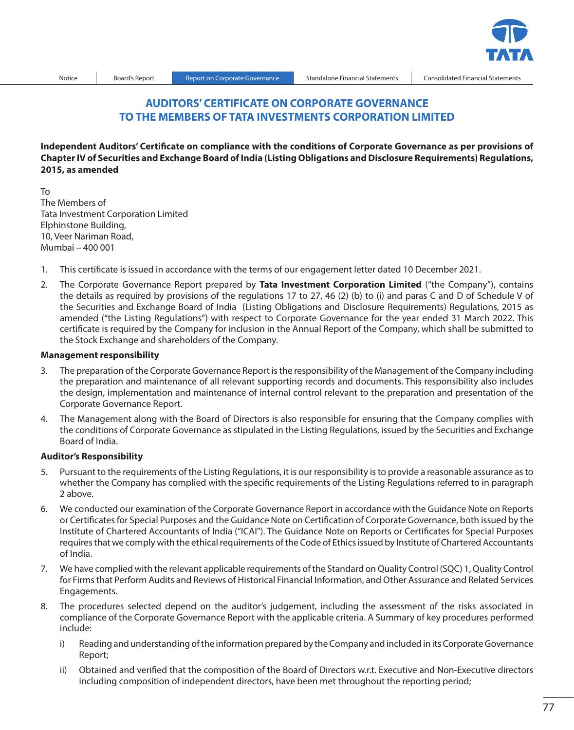

# **AUDITORS' CERTIFICATE ON CORPORATE GOVERNANCE TO THE MEMBERS OF TATA INVESTMENTS CORPORATION LIMITED**

**Independent Auditors' Certificate on compliance with the conditions of Corporate Governance as per provisions of Chapter IV of Securities and Exchange Board of India (Listing Obligations and Disclosure Requirements) Regulations, 2015, as amended**

To The Members of Tata Investment Corporation Limited Elphinstone Building, 10, Veer Nariman Road, Mumbai – 400 001

- 1. This certificate is issued in accordance with the terms of our engagement letter dated 10 December 2021.
- 2. The Corporate Governance Report prepared by **Tata Investment Corporation Limited** ("the Company"), contains the details as required by provisions of the regulations 17 to 27, 46 (2) (b) to (i) and paras C and D of Schedule V of the Securities and Exchange Board of India (Listing Obligations and Disclosure Requirements) Regulations, 2015 as amended ("the Listing Regulations") with respect to Corporate Governance for the year ended 31 March 2022. This certificate is required by the Company for inclusion in the Annual Report of the Company, which shall be submitted to the Stock Exchange and shareholders of the Company.

#### **Management responsibility**

- 3. The preparation of the Corporate Governance Report is the responsibility of the Management of the Company including the preparation and maintenance of all relevant supporting records and documents. This responsibility also includes the design, implementation and maintenance of internal control relevant to the preparation and presentation of the Corporate Governance Report.
- 4. The Management along with the Board of Directors is also responsible for ensuring that the Company complies with the conditions of Corporate Governance as stipulated in the Listing Regulations, issued by the Securities and Exchange Board of India.

## **Auditor's Responsibility**

- 5. Pursuant to the requirements of the Listing Regulations, it is our responsibility is to provide a reasonable assurance as to whether the Company has complied with the specific requirements of the Listing Regulations referred to in paragraph 2 above.
- 6. We conducted our examination of the Corporate Governance Report in accordance with the Guidance Note on Reports or Certificates for Special Purposes and the Guidance Note on Certification of Corporate Governance, both issued by the Institute of Chartered Accountants of India ("ICAI"). The Guidance Note on Reports or Certificates for Special Purposes requires that we comply with the ethical requirements of the Code of Ethics issued by Institute of Chartered Accountants of India.
- 7. We have complied with the relevant applicable requirements of the Standard on Quality Control (SQC) 1, Quality Control for Firms that Perform Audits and Reviews of Historical Financial Information, and Other Assurance and Related Services Engagements.
- 8. The procedures selected depend on the auditor's judgement, including the assessment of the risks associated in compliance of the Corporate Governance Report with the applicable criteria. A Summary of key procedures performed include:
	- i) Reading and understanding of the information prepared by the Company and included in its Corporate Governance Report;
	- ii) Obtained and verified that the composition of the Board of Directors w.r.t. Executive and Non-Executive directors including composition of independent directors, have been met throughout the reporting period;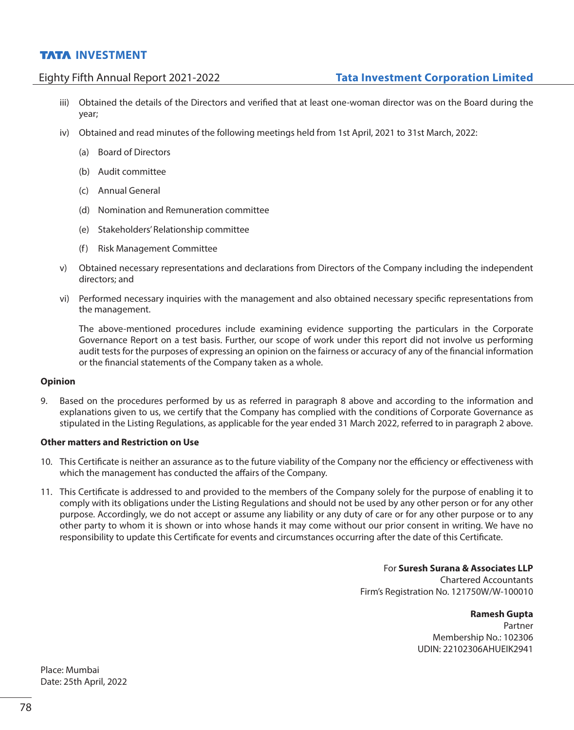- iii) Obtained the details of the Directors and verified that at least one-woman director was on the Board during the year;
- iv) Obtained and read minutes of the following meetings held from 1st April, 2021 to 31st March, 2022:
	- (a) Board of Directors
	- (b) Audit committee
	- (c) Annual General
	- (d) Nomination and Remuneration committee
	- (e) Stakeholders' Relationship committee
	- (f) Risk Management Committee
- v) Obtained necessary representations and declarations from Directors of the Company including the independent directors; and
- vi) Performed necessary inquiries with the management and also obtained necessary specific representations from the management.

 The above-mentioned procedures include examining evidence supporting the particulars in the Corporate Governance Report on a test basis. Further, our scope of work under this report did not involve us performing audit tests for the purposes of expressing an opinion on the fairness or accuracy of any of the financial information or the financial statements of the Company taken as a whole.

### **Opinion**

9. Based on the procedures performed by us as referred in paragraph 8 above and according to the information and explanations given to us, we certify that the Company has complied with the conditions of Corporate Governance as stipulated in the Listing Regulations, as applicable for the year ended 31 March 2022, referred to in paragraph 2 above.

## **Other matters and Restriction on Use**

- 10. This Certificate is neither an assurance as to the future viability of the Company nor the efficiency or effectiveness with which the management has conducted the affairs of the Company.
- 11. This Certificate is addressed to and provided to the members of the Company solely for the purpose of enabling it to comply with its obligations under the Listing Regulations and should not be used by any other person or for any other purpose. Accordingly, we do not accept or assume any liability or any duty of care or for any other purpose or to any other party to whom it is shown or into whose hands it may come without our prior consent in writing. We have no responsibility to update this Certificate for events and circumstances occurring after the date of this Certificate.

For **Suresh Surana & Associates LLP** Chartered Accountants Firm's Registration No. 121750W/W-100010

### **Ramesh Gupta**

Partner Membership No.: 102306 UDIN: 22102306AHUEIK2941

Place: Mumbai Date: 25th April, 2022